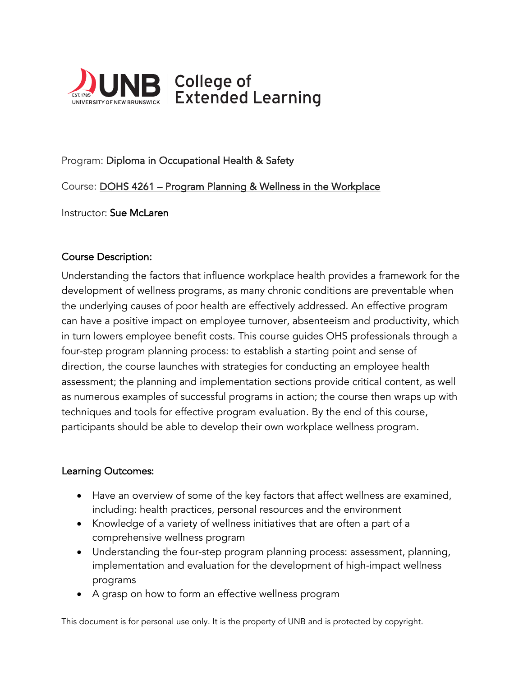

# Program: Diploma in Occupational Health & Safety

## Course: DOHS 4261 – Program Planning & Wellness in the Workplace

Instructor: Sue McLaren

## Course Description:

Understanding the factors that influence workplace health provides a framework for the development of wellness programs, as many chronic conditions are preventable when the underlying causes of poor health are effectively addressed. An effective program can have a positive impact on employee turnover, absenteeism and productivity, which in turn lowers employee benefit costs. This course guides OHS professionals through a four-step program planning process: to establish a starting point and sense of direction, the course launches with strategies for conducting an employee health assessment; the planning and implementation sections provide critical content, as well as numerous examples of successful programs in action; the course then wraps up with techniques and tools for effective program evaluation. By the end of this course, participants should be able to develop their own workplace wellness program.

#### Learning Outcomes:

- Have an overview of some of the key factors that affect wellness are examined, including: health practices, personal resources and the environment
- Knowledge of a variety of wellness initiatives that are often a part of a comprehensive wellness program
- Understanding the four-step program planning process: assessment, planning, implementation and evaluation for the development of high-impact wellness programs
- A grasp on how to form an effective wellness program

This document is for personal use only. It is the property of UNB and is protected by copyright.